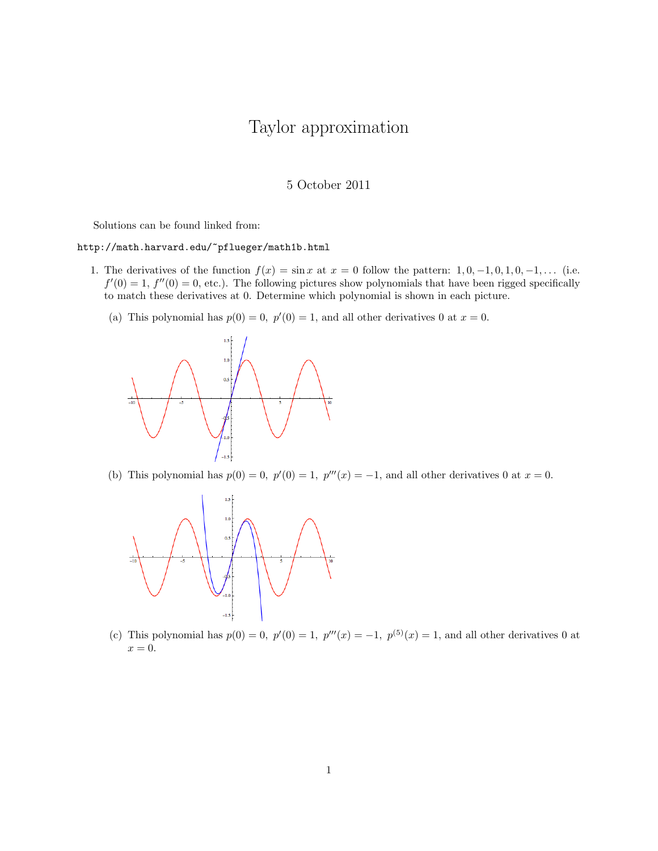## Taylor approximation

## 5 October 2011

Solutions can be found linked from:

## http://math.harvard.edu/~pflueger/math1b.html

- 1. The derivatives of the function  $f(x) = \sin x$  at  $x = 0$  follow the pattern: 1, 0, -1, 0, 1, 0, -1,... (i.e.  $f'(0) = 1$ ,  $f''(0) = 0$ , etc.). The following pictures show polynomials that have been rigged specifically to match these derivatives at 0. Determine which polynomial is shown in each picture.
	- (a) This polynomial has  $p(0) = 0$ ,  $p'(0) = 1$ , and all other derivatives 0 at  $x = 0$ .



(b) This polynomial has  $p(0) = 0$ ,  $p'(0) = 1$ ,  $p'''(x) = -1$ , and all other derivatives 0 at  $x = 0$ .



(c) This polynomial has  $p(0) = 0$ ,  $p'(0) = 1$ ,  $p'''(x) = -1$ ,  $p^{(5)}(x) = 1$ , and all other derivatives 0 at  $x = 0.$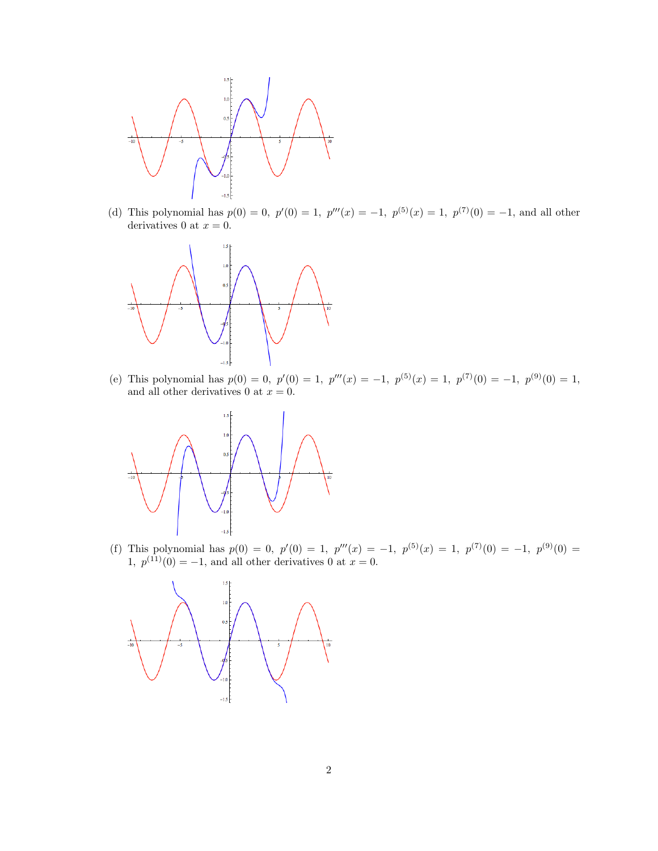

(d) This polynomial has  $p(0) = 0$ ,  $p'(0) = 1$ ,  $p'''(x) = -1$ ,  $p^{(5)}(x) = 1$ ,  $p^{(7)}(0) = -1$ , and all other derivatives 0 at  $x = 0$ .



(e) This polynomial has  $p(0) = 0$ ,  $p'(0) = 1$ ,  $p'''(x) = -1$ ,  $p^{(5)}(x) = 1$ ,  $p^{(7)}(0) = -1$ ,  $p^{(9)}(0) = 1$ , and all other derivatives 0 at  $x = 0$ .



(f) This polynomial has  $p(0) = 0$ ,  $p'(0) = 1$ ,  $p'''(x) = -1$ ,  $p^{(5)}(x) = 1$ ,  $p^{(7)}(0) = -1$ ,  $p^{(9)}(0) = 0$ 1,  $p^{(11)}(0) = -1$ , and all other derivatives 0 at  $x = 0$ .